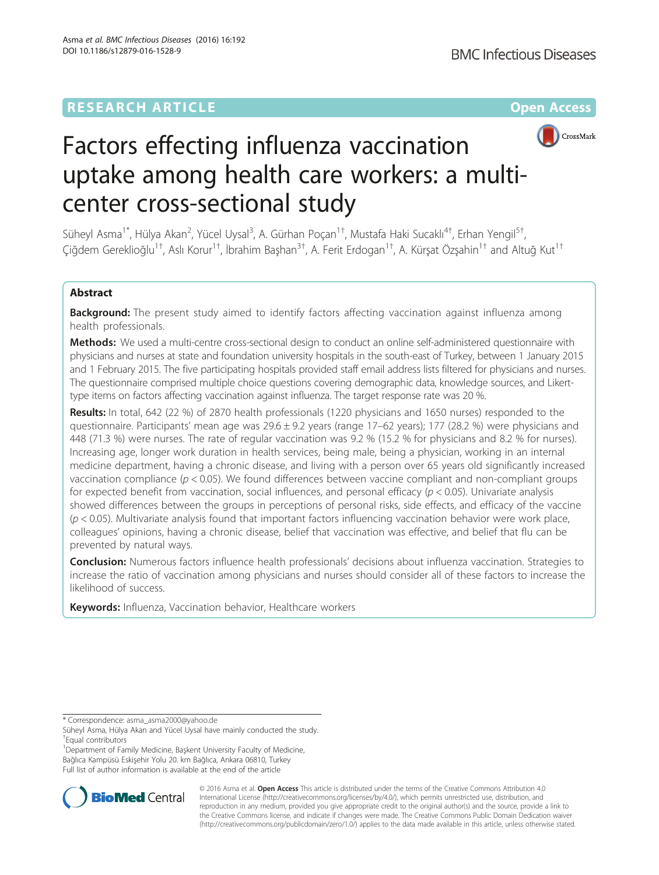# **RESEARCH ARTICLE Example 2014 12:30 The Community Community Community Community Community Community Community**



# Factors effecting influenza vaccination uptake among health care workers: a multicenter cross-sectional study

Süheyl Asma<sup>1\*</sup>, Hülya Akan<sup>2</sup>, Yücel Uysal<sup>3</sup>, A. Gürhan Poçan<sup>1†</sup>, Mustafa Haki Sucaklı<sup>4†</sup>, Erhan Yengil<sup>5†</sup> , Çiğdem Gereklioğlu<sup>1†</sup>, Aslı Korur<sup>1†</sup>, İbrahim Başhan<sup>3†</sup>, A. Ferit Erdogan<sup>1†</sup>, A. Kürşat Özşahin<sup>1†</sup> and Altuğ Kut<sup>1†</sup>

# Abstract

Background: The present study aimed to identify factors affecting vaccination against influenza among health professionals.

Methods: We used a multi-centre cross-sectional design to conduct an online self-administered questionnaire with physicians and nurses at state and foundation university hospitals in the south-east of Turkey, between 1 January 2015 and 1 February 2015. The five participating hospitals provided staff email address lists filtered for physicians and nurses. The questionnaire comprised multiple choice questions covering demographic data, knowledge sources, and Likerttype items on factors affecting vaccination against influenza. The target response rate was 20 %.

Results: In total, 642 (22 %) of 2870 health professionals (1220 physicians and 1650 nurses) responded to the questionnaire. Participants' mean age was 29.6 ± 9.2 years (range 17–62 years); 177 (28.2 %) were physicians and 448 (71.3 %) were nurses. The rate of regular vaccination was 9.2 % (15.2 % for physicians and 8.2 % for nurses). Increasing age, longer work duration in health services, being male, being a physician, working in an internal medicine department, having a chronic disease, and living with a person over 65 years old significantly increased vaccination compliance ( $p < 0.05$ ). We found differences between vaccine compliant and non-compliant groups for expected benefit from vaccination, social influences, and personal efficacy ( $p < 0.05$ ). Univariate analysis showed differences between the groups in perceptions of personal risks, side effects, and efficacy of the vaccine  $(p < 0.05)$ . Multivariate analysis found that important factors influencing vaccination behavior were work place, colleagues' opinions, having a chronic disease, belief that vaccination was effective, and belief that flu can be prevented by natural ways.

**Conclusion:** Numerous factors influence health professionals' decisions about influenza vaccination. Strategies to increase the ratio of vaccination among physicians and nurses should consider all of these factors to increase the likelihood of success.

Keywords: Influenza, Vaccination behavior, Healthcare workers

<sup>1</sup> Department of Family Medicine, Başkent University Faculty of Medicine, Bağlıca Kampüsü Eskişehir Yolu 20. km Bağlıca, Ankara 06810, Turkey Full list of author information is available at the end of the article



© 2016 Asma et al. Open Access This article is distributed under the terms of the Creative Commons Attribution 4.0 International License [\(http://creativecommons.org/licenses/by/4.0/](http://creativecommons.org/licenses/by/4.0/)), which permits unrestricted use, distribution, and reproduction in any medium, provided you give appropriate credit to the original author(s) and the source, provide a link to the Creative Commons license, and indicate if changes were made. The Creative Commons Public Domain Dedication waiver [\(http://creativecommons.org/publicdomain/zero/1.0/](http://creativecommons.org/publicdomain/zero/1.0/)) applies to the data made available in this article, unless otherwise stated.

<sup>\*</sup> Correspondence: [asma\\_asma2000@yahoo.de](mailto:asma_asma2000@yahoo.de)

Süheyl Asma, Hülya Akan and Yücel Uysal have mainly conducted the study. † Equal contributors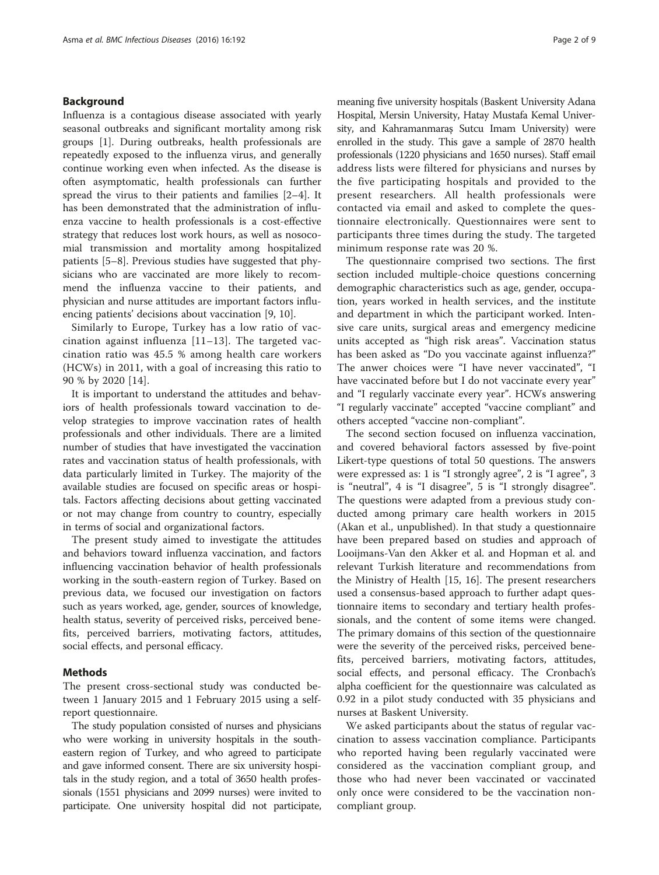## Background

Influenza is a contagious disease associated with yearly seasonal outbreaks and significant mortality among risk groups [[1\]](#page-7-0). During outbreaks, health professionals are repeatedly exposed to the influenza virus, and generally continue working even when infected. As the disease is often asymptomatic, health professionals can further spread the virus to their patients and families [[2](#page-7-0)–[4\]](#page-7-0). It has been demonstrated that the administration of influenza vaccine to health professionals is a cost-effective strategy that reduces lost work hours, as well as nosocomial transmission and mortality among hospitalized patients [\[5](#page-7-0)–[8\]](#page-7-0). Previous studies have suggested that physicians who are vaccinated are more likely to recommend the influenza vaccine to their patients, and physician and nurse attitudes are important factors influencing patients' decisions about vaccination [\[9](#page-7-0), [10](#page-7-0)].

Similarly to Europe, Turkey has a low ratio of vaccination against influenza [\[11](#page-7-0)–[13](#page-8-0)]. The targeted vaccination ratio was 45.5 % among health care workers (HCWs) in 2011, with a goal of increasing this ratio to 90 % by 2020 [\[14\]](#page-8-0).

It is important to understand the attitudes and behaviors of health professionals toward vaccination to develop strategies to improve vaccination rates of health professionals and other individuals. There are a limited number of studies that have investigated the vaccination rates and vaccination status of health professionals, with data particularly limited in Turkey. The majority of the available studies are focused on specific areas or hospitals. Factors affecting decisions about getting vaccinated or not may change from country to country, especially in terms of social and organizational factors.

The present study aimed to investigate the attitudes and behaviors toward influenza vaccination, and factors influencing vaccination behavior of health professionals working in the south-eastern region of Turkey. Based on previous data, we focused our investigation on factors such as years worked, age, gender, sources of knowledge, health status, severity of perceived risks, perceived benefits, perceived barriers, motivating factors, attitudes, social effects, and personal efficacy.

#### Methods

The present cross-sectional study was conducted between 1 January 2015 and 1 February 2015 using a selfreport questionnaire.

The study population consisted of nurses and physicians who were working in university hospitals in the southeastern region of Turkey, and who agreed to participate and gave informed consent. There are six university hospitals in the study region, and a total of 3650 health professionals (1551 physicians and 2099 nurses) were invited to participate. One university hospital did not participate,

meaning five university hospitals (Baskent University Adana Hospital, Mersin University, Hatay Mustafa Kemal University, and Kahramanmaraş Sutcu Imam University) were enrolled in the study. This gave a sample of 2870 health professionals (1220 physicians and 1650 nurses). Staff email address lists were filtered for physicians and nurses by the five participating hospitals and provided to the present researchers. All health professionals were contacted via email and asked to complete the questionnaire electronically. Questionnaires were sent to participants three times during the study. The targeted minimum response rate was 20 %.

The questionnaire comprised two sections. The first section included multiple-choice questions concerning demographic characteristics such as age, gender, occupation, years worked in health services, and the institute and department in which the participant worked. Intensive care units, surgical areas and emergency medicine units accepted as "high risk areas". Vaccination status has been asked as "Do you vaccinate against influenza?" The anwer choices were "I have never vaccinated", "I have vaccinated before but I do not vaccinate every year" and "I regularly vaccinate every year". HCWs answering "I regularly vaccinate" accepted "vaccine compliant" and others accepted "vaccine non-compliant".

The second section focused on influenza vaccination, and covered behavioral factors assessed by five-point Likert-type questions of total 50 questions. The answers were expressed as: 1 is "I strongly agree", 2 is "I agree", 3 is "neutral", 4 is "I disagree", 5 is "I strongly disagree". The questions were adapted from a previous study conducted among primary care health workers in 2015 (Akan et al., unpublished). In that study a questionnaire have been prepared based on studies and approach of Looijmans-Van den Akker et al. and Hopman et al. and relevant Turkish literature and recommendations from the Ministry of Health [\[15, 16](#page-8-0)]. The present researchers used a consensus-based approach to further adapt questionnaire items to secondary and tertiary health professionals, and the content of some items were changed. The primary domains of this section of the questionnaire were the severity of the perceived risks, perceived benefits, perceived barriers, motivating factors, attitudes, social effects, and personal efficacy. The Cronbach's alpha coefficient for the questionnaire was calculated as 0.92 in a pilot study conducted with 35 physicians and nurses at Baskent University.

We asked participants about the status of regular vaccination to assess vaccination compliance. Participants who reported having been regularly vaccinated were considered as the vaccination compliant group, and those who had never been vaccinated or vaccinated only once were considered to be the vaccination noncompliant group.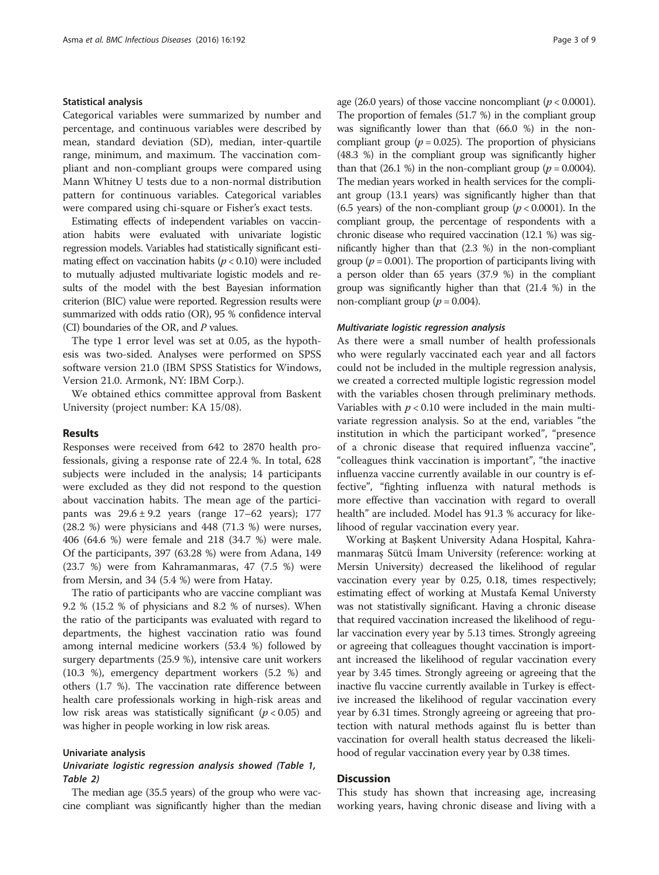#### Statistical analysis

Categorical variables were summarized by number and percentage, and continuous variables were described by mean, standard deviation (SD), median, inter-quartile range, minimum, and maximum. The vaccination compliant and non-compliant groups were compared using Mann Whitney U tests due to a non-normal distribution pattern for continuous variables. Categorical variables were compared using chi-square or Fisher's exact tests.

Estimating effects of independent variables on vaccination habits were evaluated with univariate logistic regression models. Variables had statistically significant estimating effect on vaccination habits ( $p < 0.10$ ) were included to mutually adjusted multivariate logistic models and results of the model with the best Bayesian information criterion (BIC) value were reported. Regression results were summarized with odds ratio (OR), 95 % confidence interval (CI) boundaries of the OR, and  $P$  values.

The type 1 error level was set at 0.05, as the hypothesis was two-sided. Analyses were performed on SPSS software version 21.0 (IBM SPSS Statistics for Windows, Version 21.0. Armonk, NY: IBM Corp.).

We obtained ethics committee approval from Baskent University (project number: KA 15/08).

#### Results

Responses were received from 642 to 2870 health professionals, giving a response rate of 22.4 %. In total, 628 subjects were included in the analysis; 14 participants were excluded as they did not respond to the question about vaccination habits. The mean age of the participants was  $29.6 \pm 9.2$  years (range  $17-62$  years); 177 (28.2 %) were physicians and 448 (71.3 %) were nurses, 406 (64.6 %) were female and 218 (34.7 %) were male. Of the participants, 397 (63.28 %) were from Adana, 149 (23.7 %) were from Kahramanmaras, 47 (7.5 %) were from Mersin, and 34 (5.4 %) were from Hatay.

The ratio of participants who are vaccine compliant was 9.2 % (15.2 % of physicians and 8.2 % of nurses). When the ratio of the participants was evaluated with regard to departments, the highest vaccination ratio was found among internal medicine workers (53.4 %) followed by surgery departments (25.9 %), intensive care unit workers (10.3 %), emergency department workers (5.2 %) and others (1.7 %). The vaccination rate difference between health care professionals working in high-risk areas and low risk areas was statistically significant ( $p < 0.05$ ) and was higher in people working in low risk areas.

#### Univariate analysis

# Univariate logistic regression analysis showed (Table [1](#page-3-0), Table [2](#page-4-0))

The median age (35.5 years) of the group who were vaccine compliant was significantly higher than the median age (26.0 years) of those vaccine noncompliant ( $p < 0.0001$ ). The proportion of females (51.7 %) in the compliant group was significantly lower than that (66.0 %) in the noncompliant group ( $p = 0.025$ ). The proportion of physicians (48.3 %) in the compliant group was significantly higher than that (26.1 %) in the non-compliant group ( $p = 0.0004$ ). The median years worked in health services for the compliant group (13.1 years) was significantly higher than that (6.5 years) of the non-compliant group ( $p < 0.0001$ ). In the compliant group, the percentage of respondents with a chronic disease who required vaccination (12.1 %) was significantly higher than that (2.3 %) in the non-compliant group ( $p = 0.001$ ). The proportion of participants living with a person older than 65 years (37.9 %) in the compliant group was significantly higher than that (21.4 %) in the non-compliant group ( $p = 0.004$ ).

#### Multivariate logistic regression analysis

As there were a small number of health professionals who were regularly vaccinated each year and all factors could not be included in the multiple regression analysis, we created a corrected multiple logistic regression model with the variables chosen through preliminary methods. Variables with  $p < 0.10$  were included in the main multivariate regression analysis. So at the end, variables "the institution in which the participant worked", "presence of a chronic disease that required influenza vaccine", "colleagues think vaccination is important", "the inactive influenza vaccine currently available in our country is effective", "fighting influenza with natural methods is more effective than vaccination with regard to overall health" are included. Model has 91.3 % accuracy for likelihood of regular vaccination every year.

Working at Başkent University Adana Hospital, Kahramanmaraş Sütcü İmam University (reference: working at Mersin University) decreased the likelihood of regular vaccination every year by 0.25, 0.18, times respectively; estimating effect of working at Mustafa Kemal Universty was not statistivally significant. Having a chronic disease that required vaccination increased the likelihood of regular vaccination every year by 5.13 times. Strongly agreeing or agreeing that colleagues thought vaccination is important increased the likelihood of regular vaccination every year by 3.45 times. Strongly agreeing or agreeing that the inactive flu vaccine currently available in Turkey is effective increased the likelihood of regular vaccination every year by 6.31 times. Strongly agreeing or agreeing that protection with natural methods against flu is better than vaccination for overall health status decreased the likelihood of regular vaccination every year by 0.38 times.

## **Discussion**

This study has shown that increasing age, increasing working years, having chronic disease and living with a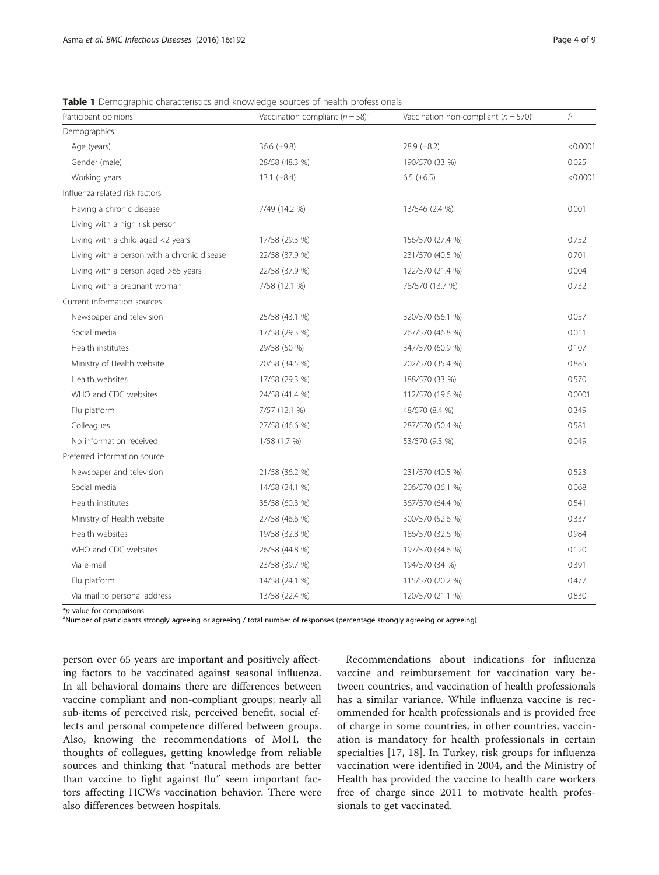| Participant opinions                        | Vaccination compliant ( $n = 58$ ) <sup>a</sup> | Vaccination non-compliant ( $n = 570$ ) <sup>a</sup> | $\overline{P}$ |
|---------------------------------------------|-------------------------------------------------|------------------------------------------------------|----------------|
| Demographics                                |                                                 |                                                      |                |
| Age (years)                                 | 36.6 (±9.8)                                     | 28.9 $(\pm 8.2)$                                     | < 0.0001       |
| Gender (male)                               | 28/58 (48.3 %)                                  | 190/570 (33 %)                                       | 0.025          |
| Working years                               | 13.1 $(\pm 8.4)$                                | 6.5 $(\pm 6.5)$                                      | < 0.0001       |
| Influenza related risk factors              |                                                 |                                                      |                |
| Having a chronic disease                    | 7/49 (14.2 %)                                   | 13/546 (2.4 %)                                       | 0.001          |
| Living with a high risk person              |                                                 |                                                      |                |
| Living with a child aged $<$ 2 years        | 17/58 (29.3 %)                                  | 156/570 (27.4 %)                                     | 0.752          |
| Living with a person with a chronic disease | 22/58 (37.9 %)                                  | 231/570 (40.5 %)                                     | 0.701          |
| Living with a person aged >65 years         | 22/58 (37.9 %)                                  | 122/570 (21.4 %)                                     | 0.004          |
| Living with a pregnant woman                | 7/58 (12.1 %)                                   | 78/570 (13.7 %)                                      | 0.732          |
| Current information sources                 |                                                 |                                                      |                |
| Newspaper and television                    | 25/58 (43.1 %)                                  | 320/570 (56.1 %)                                     | 0.057          |
| Social media                                | 17/58 (29.3 %)                                  | 267/570 (46.8 %)                                     | 0.011          |
| Health institutes                           | 29/58 (50 %)                                    | 347/570 (60.9 %)                                     | 0.107          |
| Ministry of Health website                  | 20/58 (34.5 %)                                  | 202/570 (35.4 %)                                     | 0.885          |
| Health websites                             | 17/58 (29.3 %)                                  | 188/570 (33 %)                                       | 0.570          |
| WHO and CDC websites                        | 24/58 (41.4 %)                                  | 112/570 (19.6 %)                                     | 0.0001         |
| Flu platform                                | 7/57 (12.1 %)                                   | 48/570 (8.4 %)                                       | 0.349          |
| Colleagues                                  | 27/58 (46.6 %)                                  | 287/570 (50.4 %)                                     | 0.581          |
| No information received                     | 1/58 (1.7 %)                                    | 53/570 (9.3 %)                                       | 0.049          |
| Preferred information source                |                                                 |                                                      |                |
| Newspaper and television                    | 21/58 (36.2 %)                                  | 231/570 (40.5 %)                                     | 0.523          |
| Social media                                | 14/58 (24.1 %)                                  | 206/570 (36.1 %)                                     | 0.068          |
| Health institutes                           | 35/58 (60.3 %)                                  | 367/570 (64.4 %)                                     | 0.541          |
| Ministry of Health website                  | 27/58 (46.6 %)                                  | 300/570 (52.6 %)                                     | 0.337          |
| Health websites                             | 19/58 (32.8 %)                                  | 186/570 (32.6 %)                                     | 0.984          |
| WHO and CDC websites                        | 26/58 (44.8 %)                                  | 197/570 (34.6 %)                                     | 0.120          |
| Via e-mail                                  | 23/58 (39.7 %)                                  | 194/570 (34 %)                                       | 0.391          |
| Flu platform                                | 14/58 (24.1 %)                                  | 115/570 (20.2 %)                                     | 0.477          |
| Via mail to personal address                | 13/58 (22.4 %)                                  | 120/570 (21.1 %)                                     | 0.830          |

<span id="page-3-0"></span>Table 1 Demographic characteristics and knowledge sources of health professionals

 $*$ *p* value for comparisons

<sup>a</sup>Number of participants strongly agreeing or agreeing / total number of responses (percentage strongly agreeing or agreeing)

person over 65 years are important and positively affecting factors to be vaccinated against seasonal influenza. In all behavioral domains there are differences between vaccine compliant and non-compliant groups; nearly all sub-items of perceived risk, perceived benefit, social effects and personal competence differed between groups. Also, knowing the recommendations of MoH, the thoughts of collegues, getting knowledge from reliable sources and thinking that "natural methods are better than vaccine to fight against flu" seem important factors affecting HCWs vaccination behavior. There were also differences between hospitals.

Recommendations about indications for influenza vaccine and reimbursement for vaccination vary between countries, and vaccination of health professionals has a similar variance. While influenza vaccine is recommended for health professionals and is provided free of charge in some countries, in other countries, vaccination is mandatory for health professionals in certain specialties [[17, 18](#page-8-0)]. In Turkey, risk groups for influenza vaccination were identified in 2004, and the Ministry of Health has provided the vaccine to health care workers free of charge since 2011 to motivate health professionals to get vaccinated.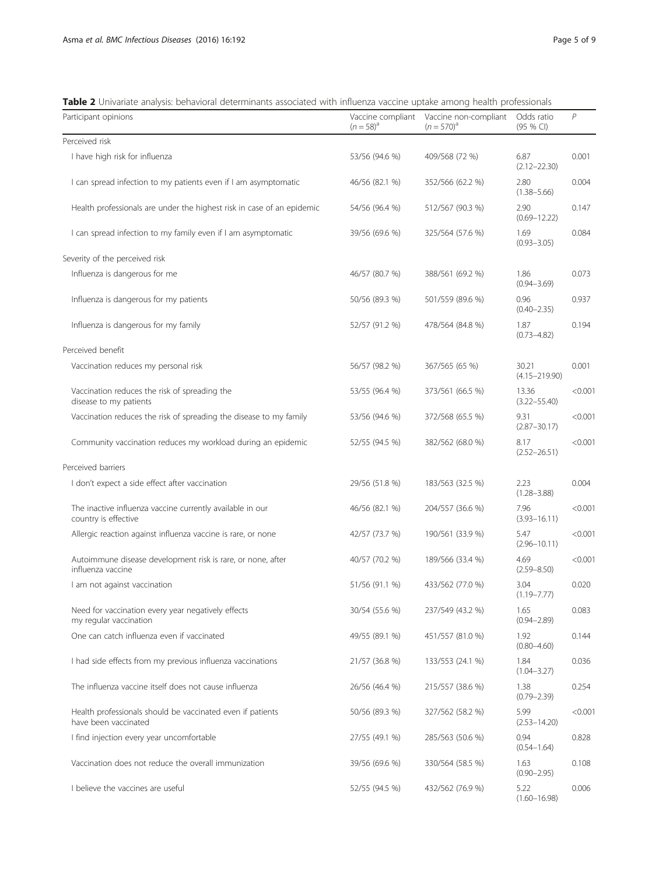<span id="page-4-0"></span>Table 2 Univariate analysis: behavioral determinants associated with influenza vaccine uptake among health professionals

| Participant opinions                                                               | Vaccine compliant<br>$(n = 58)^{a}$ | Vaccine non-compliant<br>$(n = 570)^{a}$ | Odds ratio<br>(95 % CI)    | $\overline{P}$ |
|------------------------------------------------------------------------------------|-------------------------------------|------------------------------------------|----------------------------|----------------|
| Perceived risk                                                                     |                                     |                                          |                            |                |
| I have high risk for influenza                                                     | 53/56 (94.6 %)                      | 409/568 (72 %)                           | 6.87<br>$(2.12 - 22.30)$   | 0.001          |
| I can spread infection to my patients even if I am asymptomatic                    | 46/56 (82.1 %)                      | 352/566 (62.2 %)                         | 2.80<br>$(1.38 - 5.66)$    | 0.004          |
| Health professionals are under the highest risk in case of an epidemic             | 54/56 (96.4 %)                      | 512/567 (90.3 %)                         | 2.90<br>$(0.69 - 12.22)$   | 0.147          |
| I can spread infection to my family even if I am asymptomatic                      | 39/56 (69.6 %)                      | 325/564 (57.6 %)                         | 1.69<br>$(0.93 - 3.05)$    | 0.084          |
| Severity of the perceived risk                                                     |                                     |                                          |                            |                |
| Influenza is dangerous for me                                                      | 46/57 (80.7 %)                      | 388/561 (69.2 %)                         | 1.86<br>$(0.94 - 3.69)$    | 0.073          |
| Influenza is dangerous for my patients                                             | 50/56 (89.3 %)                      | 501/559 (89.6 %)                         | 0.96<br>$(0.40 - 2.35)$    | 0.937          |
| Influenza is dangerous for my family                                               | 52/57 (91.2 %)                      | 478/564 (84.8 %)                         | 1.87<br>$(0.73 - 4.82)$    | 0.194          |
| Perceived benefit                                                                  |                                     |                                          |                            |                |
| Vaccination reduces my personal risk                                               | 56/57 (98.2 %)                      | 367/565 (65 %)                           | 30.21<br>$(4.15 - 219.90)$ | 0.001          |
| Vaccination reduces the risk of spreading the<br>disease to my patients            | 53/55 (96.4 %)                      | 373/561 (66.5 %)                         | 13.36<br>$(3.22 - 55.40)$  | < 0.001        |
| Vaccination reduces the risk of spreading the disease to my family                 | 53/56 (94.6 %)                      | 372/568 (65.5 %)                         | 9.31<br>$(2.87 - 30.17)$   | < 0.001        |
| Community vaccination reduces my workload during an epidemic                       | 52/55 (94.5 %)                      | 382/562 (68.0 %)                         | 8.17<br>$(2.52 - 26.51)$   | < 0.001        |
| Perceived barriers                                                                 |                                     |                                          |                            |                |
| I don't expect a side effect after vaccination                                     | 29/56 (51.8 %)                      | 183/563 (32.5 %)                         | 2.23<br>$(1.28 - 3.88)$    | 0.004          |
| The inactive influenza vaccine currently available in our<br>country is effective  | 46/56 (82.1 %)                      | 204/557 (36.6 %)                         | 7.96<br>$(3.93 - 16.11)$   | < 0.001        |
| Allergic reaction against influenza vaccine is rare, or none                       | 42/57 (73.7 %)                      | 190/561 (33.9 %)                         | 5.47<br>$(2.96 - 10.11)$   | < 0.001        |
| Autoimmune disease development risk is rare, or none, after<br>influenza vaccine   | 40/57 (70.2 %)                      | 189/566 (33.4 %)                         | 4.69<br>$(2.59 - 8.50)$    | < 0.001        |
| I am not against vaccination                                                       | 51/56 (91.1 %)                      | 433/562 (77.0 %)                         | 3.04<br>$(1.19 - 7.77)$    | 0.020          |
| Need for vaccination every year negatively effects<br>my regular vaccination       | 30/54 (55.6 %)                      | 237/549 (43.2 %)                         | 1.65<br>$(0.94 - 2.89)$    | 0.083          |
| One can catch influenza even if vaccinated                                         | 49/55 (89.1 %)                      | 451/557 (81.0 %)                         | 1.92<br>$(0.80 - 4.60)$    | 0.144          |
| I had side effects from my previous influenza vaccinations                         | 21/57 (36.8 %)                      | 133/553 (24.1 %)                         | 1.84<br>$(1.04 - 3.27)$    | 0.036          |
| The influenza vaccine itself does not cause influenza                              | 26/56 (46.4 %)                      | 215/557 (38.6 %)                         | 1.38<br>$(0.79 - 2.39)$    | 0.254          |
| Health professionals should be vaccinated even if patients<br>have been vaccinated | 50/56 (89.3 %)                      | 327/562 (58.2 %)                         | 5.99<br>$(2.53 - 14.20)$   | < 0.001        |
| I find injection every year uncomfortable                                          | 27/55 (49.1 %)                      | 285/563 (50.6 %)                         | 0.94<br>$(0.54 - 1.64)$    | 0.828          |
| Vaccination does not reduce the overall immunization                               | 39/56 (69.6 %)                      | 330/564 (58.5 %)                         | 1.63<br>$(0.90 - 2.95)$    | 0.108          |
| I believe the vaccines are useful                                                  | 52/55 (94.5 %)                      | 432/562 (76.9 %)                         | 5.22<br>$(1.60 - 16.98)$   | 0.006          |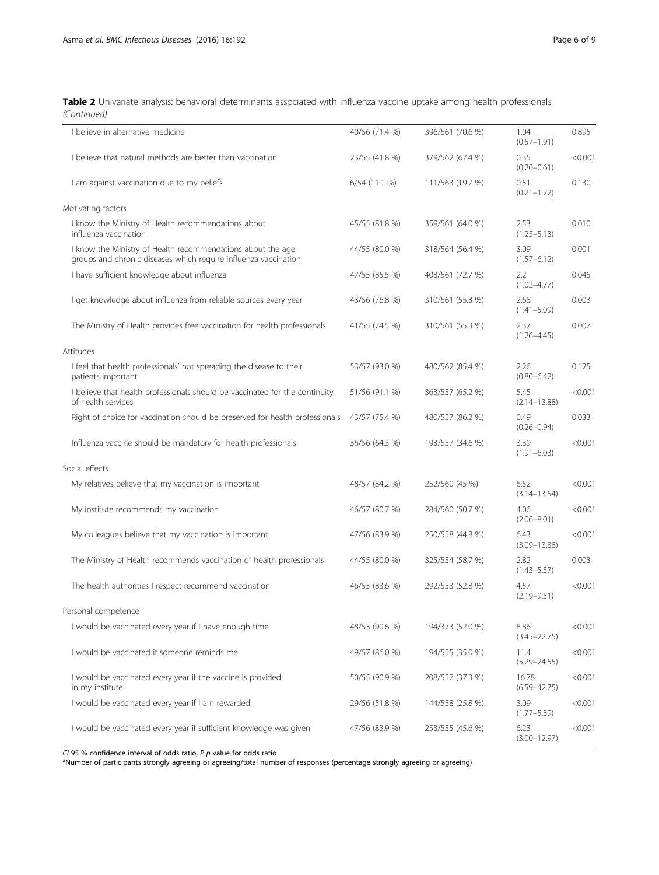Table 2 Univariate analysis: behavioral determinants associated with influenza vaccine uptake among health professionals (Continued)

| I believe in alternative medicine                                                                                              | 40/56 (71.4 %)  | 396/561 (70.6 %) | 1.04<br>$(0.57 - 1.91)$   | 0.895   |
|--------------------------------------------------------------------------------------------------------------------------------|-----------------|------------------|---------------------------|---------|
| I believe that natural methods are better than vaccination                                                                     | 23/55 (41.8 %)  | 379/562 (67.4 %) | 0.35<br>$(0.20 - 0.61)$   | < 0.001 |
| I am against vaccination due to my beliefs                                                                                     | $6/54$ (11.1 %) | 111/563 (19.7 %) | 0.51<br>$(0.21 - 1.22)$   | 0.130   |
| Motivating factors                                                                                                             |                 |                  |                           |         |
| I know the Ministry of Health recommendations about<br>influenza vaccination                                                   | 45/55 (81.8 %)  | 359/561 (64.0 %) | 2.53<br>$(1.25 - 5.13)$   | 0.010   |
| I know the Ministry of Health recommendations about the age<br>groups and chronic diseases which require influenza vaccination | 44/55 (80.0 %)  | 318/564 (56.4 %) | 3.09<br>$(1.57 - 6.12)$   | 0.001   |
| I have sufficient knowledge about influenza                                                                                    | 47/55 (85.5 %)  | 408/561 (72.7 %) | 2.2<br>$(1.02 - 4.77)$    | 0.045   |
| I get knowledge about influenza from reliable sources every year                                                               | 43/56 (76.8 %)  | 310/561 (55.3 %) | 2.68<br>$(1.41 - 5.09)$   | 0.003   |
| The Ministry of Health provides free vaccination for health professionals                                                      | 41/55 (74.5 %)  | 310/561 (55.3 %) | 2.37<br>$(1.26 - 4.45)$   | 0.007   |
| Attitudes                                                                                                                      |                 |                  |                           |         |
| I feel that health professionals' not spreading the disease to their<br>patients important                                     | 53/57 (93.0 %)  | 480/562 (85.4 %) | 2.26<br>$(0.80 - 6.42)$   | 0.125   |
| I believe that health professionals should be vaccinated for the continuity<br>of health services                              | 51/56 (91.1 %)  | 363/557 (65.2 %) | 5.45<br>$(2.14 - 13.88)$  | < 0.001 |
| Right of choice for vaccination should be preserved for health professionals                                                   | 43/57 (75.4 %)  | 480/557 (86.2 %) | 0.49<br>$(0.26 - 0.94)$   | 0.033   |
| Influenza vaccine should be mandatory for health professionals                                                                 | 36/56 (64.3 %)  | 193/557 (34.6 %) | 3.39<br>$(1.91 - 6.03)$   | < 0.001 |
| Social effects                                                                                                                 |                 |                  |                           |         |
| My relatives believe that my vaccination is important                                                                          | 48/57 (84.2 %)  | 252/560 (45 %)   | 6.52<br>$(3.14 - 13.54)$  | < 0.001 |
| My institute recommends my vaccination                                                                                         | 46/57 (80.7 %)  | 284/560 (50.7 %) | 4.06<br>$(2.06 - 8.01)$   | < 0.001 |
| My colleagues believe that my vaccination is important                                                                         | 47/56 (83.9 %)  | 250/558 (44.8 %) | 6.43<br>$(3.09 - 13.38)$  | < 0.001 |
| The Ministry of Health recommends vaccination of health professionals                                                          | 44/55 (80.0 %)  | 325/554 (58.7 %) | 2.82<br>$(1.43 - 5.57)$   | 0.003   |
| The health authorities I respect recommend vaccination                                                                         | 46/55 (83.6 %)  | 292/553 (52.8 %) | 4.57<br>$(2.19 - 9.51)$   | < 0.001 |
| Personal competence                                                                                                            |                 |                  |                           |         |
| I would be vaccinated every year if I have enough time                                                                         | 48/53 (90.6 %)  | 194/373 (52.0 %) | 8.86<br>$(3.45 - 22.75)$  | < 0.001 |
| I would be vaccinated if someone reminds me                                                                                    | 49/57 (86.0 %)  | 194/555 (35.0 %) | 11.4<br>$(5.29 - 24.55)$  | < 0.001 |
| I would be vaccinated every year if the vaccine is provided<br>in my institute                                                 | 50/55 (90.9 %)  | 208/557 (37.3 %) | 16.78<br>$(6.59 - 42.75)$ | < 0.001 |
| I would be vaccinated every year if I am rewarded                                                                              | 29/56 (51.8 %)  | 144/558 (25.8 %) | 3.09<br>$(1.77 - 5.39)$   | < 0.001 |
| I would be vaccinated every year if sufficient knowledge was given                                                             | 47/56 (83.9 %)  | 253/555 (45.6 %) | 6.23<br>$(3.00 - 12.97)$  | < 0.001 |

CI 95 % confidence interval of odds ratio, P p value for odds ratio<br><sup>a</sup>Number of participants strongly agreeing or agreeing/total number of responses (percentage strongly agreeing or agreeing)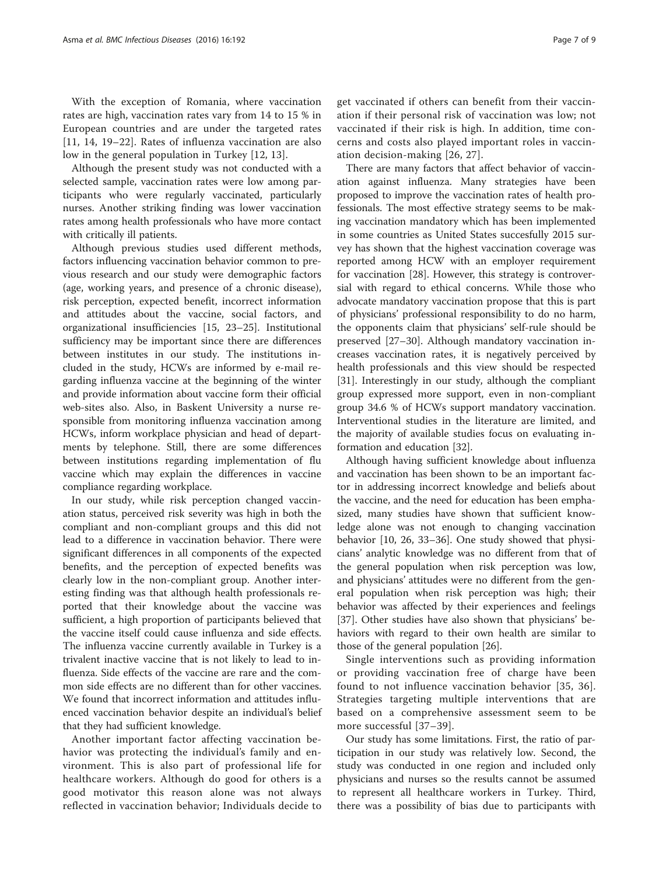With the exception of Romania, where vaccination rates are high, vaccination rates vary from 14 to 15 % in European countries and are under the targeted rates [[11,](#page-7-0) [14, 19](#page-8-0)–[22\]](#page-8-0). Rates of influenza vaccination are also low in the general population in Turkey [[12, 13\]](#page-8-0).

Although the present study was not conducted with a selected sample, vaccination rates were low among participants who were regularly vaccinated, particularly nurses. Another striking finding was lower vaccination rates among health professionals who have more contact with critically ill patients.

Although previous studies used different methods, factors influencing vaccination behavior common to previous research and our study were demographic factors (age, working years, and presence of a chronic disease), risk perception, expected benefit, incorrect information and attitudes about the vaccine, social factors, and organizational insufficiencies [\[15](#page-8-0), [23](#page-8-0)–[25\]](#page-8-0). Institutional sufficiency may be important since there are differences between institutes in our study. The institutions included in the study, HCWs are informed by e-mail regarding influenza vaccine at the beginning of the winter and provide information about vaccine form their official web-sites also. Also, in Baskent University a nurse responsible from monitoring influenza vaccination among HCWs, inform workplace physician and head of departments by telephone. Still, there are some differences between institutions regarding implementation of flu vaccine which may explain the differences in vaccine compliance regarding workplace.

In our study, while risk perception changed vaccination status, perceived risk severity was high in both the compliant and non-compliant groups and this did not lead to a difference in vaccination behavior. There were significant differences in all components of the expected benefits, and the perception of expected benefits was clearly low in the non-compliant group. Another interesting finding was that although health professionals reported that their knowledge about the vaccine was sufficient, a high proportion of participants believed that the vaccine itself could cause influenza and side effects. The influenza vaccine currently available in Turkey is a trivalent inactive vaccine that is not likely to lead to influenza. Side effects of the vaccine are rare and the common side effects are no different than for other vaccines. We found that incorrect information and attitudes influenced vaccination behavior despite an individual's belief that they had sufficient knowledge.

Another important factor affecting vaccination behavior was protecting the individual's family and environment. This is also part of professional life for healthcare workers. Although do good for others is a good motivator this reason alone was not always reflected in vaccination behavior; Individuals decide to get vaccinated if others can benefit from their vaccination if their personal risk of vaccination was low; not vaccinated if their risk is high. In addition, time concerns and costs also played important roles in vaccination decision-making [[26, 27](#page-8-0)].

There are many factors that affect behavior of vaccination against influenza. Many strategies have been proposed to improve the vaccination rates of health professionals. The most effective strategy seems to be making vaccination mandatory which has been implemented in some countries as United States succesfully 2015 survey has shown that the highest vaccination coverage was reported among HCW with an employer requirement for vaccination [[28\]](#page-8-0). However, this strategy is controversial with regard to ethical concerns. While those who advocate mandatory vaccination propose that this is part of physicians' professional responsibility to do no harm, the opponents claim that physicians' self-rule should be preserved [\[27](#page-8-0)–[30\]](#page-8-0). Although mandatory vaccination increases vaccination rates, it is negatively perceived by health professionals and this view should be respected [[31\]](#page-8-0). Interestingly in our study, although the compliant group expressed more support, even in non-compliant group 34.6 % of HCWs support mandatory vaccination. Interventional studies in the literature are limited, and the majority of available studies focus on evaluating information and education [\[32](#page-8-0)].

Although having sufficient knowledge about influenza and vaccination has been shown to be an important factor in addressing incorrect knowledge and beliefs about the vaccine, and the need for education has been emphasized, many studies have shown that sufficient knowledge alone was not enough to changing vaccination behavior [[10](#page-7-0), [26](#page-8-0), [33](#page-8-0)–[36\]](#page-8-0). One study showed that physicians' analytic knowledge was no different from that of the general population when risk perception was low, and physicians' attitudes were no different from the general population when risk perception was high; their behavior was affected by their experiences and feelings [[37\]](#page-8-0). Other studies have also shown that physicians' behaviors with regard to their own health are similar to those of the general population [[26\]](#page-8-0).

Single interventions such as providing information or providing vaccination free of charge have been found to not influence vaccination behavior [[35](#page-8-0), [36](#page-8-0)]. Strategies targeting multiple interventions that are based on a comprehensive assessment seem to be more successful [[37](#page-8-0)–[39](#page-8-0)].

Our study has some limitations. First, the ratio of participation in our study was relatively low. Second, the study was conducted in one region and included only physicians and nurses so the results cannot be assumed to represent all healthcare workers in Turkey. Third, there was a possibility of bias due to participants with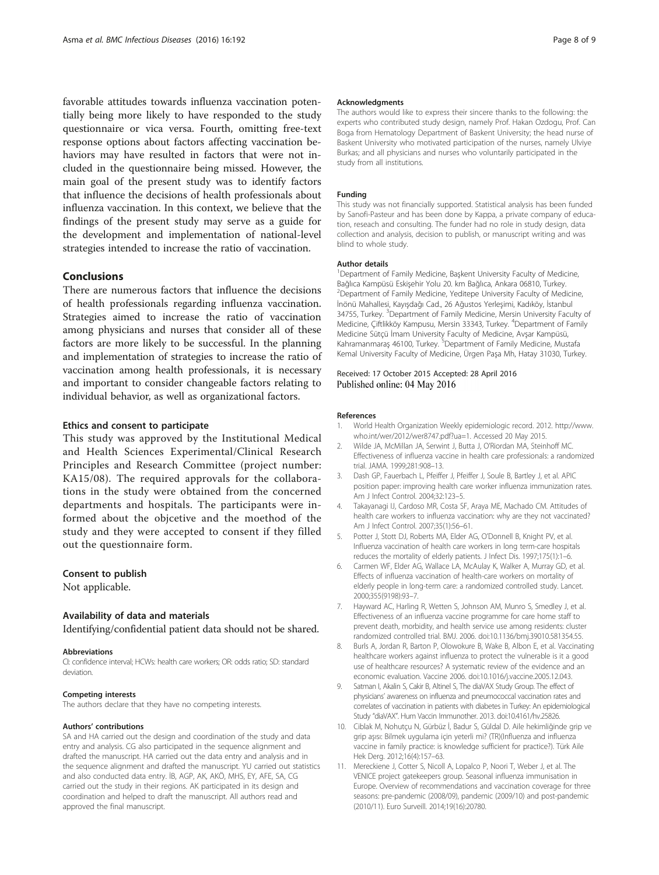<span id="page-7-0"></span>favorable attitudes towards influenza vaccination potentially being more likely to have responded to the study questionnaire or vica versa. Fourth, omitting free-text response options about factors affecting vaccination behaviors may have resulted in factors that were not included in the questionnaire being missed. However, the main goal of the present study was to identify factors that influence the decisions of health professionals about influenza vaccination. In this context, we believe that the findings of the present study may serve as a guide for the development and implementation of national-level strategies intended to increase the ratio of vaccination.

#### **Conclusions**

There are numerous factors that influence the decisions of health professionals regarding influenza vaccination. Strategies aimed to increase the ratio of vaccination among physicians and nurses that consider all of these factors are more likely to be successful. In the planning and implementation of strategies to increase the ratio of vaccination among health professionals, it is necessary and important to consider changeable factors relating to individual behavior, as well as organizational factors.

#### Ethics and consent to participate

This study was approved by the Institutional Medical and Health Sciences Experimental/Clinical Research Principles and Research Committee (project number: KA15/08). The required approvals for the collaborations in the study were obtained from the concerned departments and hospitals. The participants were informed about the objcetive and the moethod of the study and they were accepted to consent if they filled out the questionnaire form.

#### Consent to publish

Not applicable.

#### Availability of data and materials

Identifying/confidential patient data should not be shared.

#### Abbreviations

CI: confidence interval; HCWs: health care workers; OR: odds ratio; SD: standard deviation.

#### Competing interests

The authors declare that they have no competing interests.

#### Authors' contributions

SA and HA carried out the design and coordination of the study and data entry and analysis. CG also participated in the sequence alignment and drafted the manuscript. HA carried out the data entry and analysis and in the sequence alignment and drafted the manuscript. YU carried out statistics and also conducted data entry. İB, AGP, AK, AKÖ, MHS, EY, AFE, SA, CG carried out the study in their regions. AK participated in its design and coordination and helped to draft the manuscript. All authors read and approved the final manuscript.

#### Acknowledgments

The authors would like to express their sincere thanks to the following: the experts who contributed study design, namely Prof. Hakan Ozdogu, Prof. Can Boga from Hematology Department of Baskent University; the head nurse of Baskent University who motivated participation of the nurses, namely Ulviye Burkas; and all physicians and nurses who voluntarily participated in the study from all institutions.

#### Funding

This study was not financially supported. Statistical analysis has been funded by Sanofi-Pasteur and has been done by Kappa, a private company of education, reseach and consulting. The funder had no role in study design, data collection and analysis, decision to publish, or manuscript writing and was blind to whole study.

#### Author details

<sup>1</sup>Department of Family Medicine, Başkent University Faculty of Medicine Bağlıca Kampüsü Eskişehir Yolu 20. km Bağlıca, Ankara 06810, Turkey. <sup>2</sup> <sup>2</sup>Department of Family Medicine, Yeditepe University Faculty of Medicine, İnönü Mahallesi, Kayışdağı Cad., 26 Ağustos Yerleşimi, Kadıköy, İstanbul 34755, Turkey. <sup>3</sup>Department of Family Medicine, Mersin University Faculty of Medicine, Çiftlikköy Kampusu, Mersin 33343, Turkey. <sup>4</sup>Department of Family Medicine Sütçü İmam University Faculty of Medicine, Avşar Kampüsü, Kahramanmaraş 46100, Turkey. <sup>5</sup>Department of Family Medicine, Mustafa Kemal University Faculty of Medicine, Ürgen Paşa Mh, Hatay 31030, Turkey.

#### Received: 17 October 2015 Accepted: 28 April 2016 Published online: 04 May 2016

#### References

- 1. World Health Organization Weekly epidemiologic record. 2012. [http://www.](http://www.who.int/wer/2012/wer8747.pdf?ua=1) [who.int/wer/2012/wer8747.pdf?ua=1.](http://www.who.int/wer/2012/wer8747.pdf?ua=1) Accessed 20 May 2015.
- 2. Wilde JA, McMillan JA, Serwint J, Butta J, O'Riordan MA, Steinhoff MC. Effectiveness of influenza vaccine in health care professionals: a randomized trial. JAMA. 1999;281:908–13.
- 3. Dash GP, Fauerbach L, Pfeiffer J, Pfeiffer J, Soule B, Bartley J, et al. APIC position paper: improving health care worker influenza immunization rates. Am J Infect Control. 2004;32:123–5.
- 4. Takayanagi IJ, Cardoso MR, Costa SF, Araya ME, Machado CM. Attitudes of health care workers to influenza vaccination: why are they not vaccinated? Am J Infect Control. 2007;35(1):56–61.
- 5. Potter J, Stott DJ, Roberts MA, Elder AG, O'Donnell B, Knight PV, et al. Influenza vaccination of health care workers in long term-care hospitals reduces the mortality of elderly patients. J Infect Dis. 1997;175(1):1–6.
- 6. Carmen WF, Elder AG, Wallace LA, McAulay K, Walker A, Murray GD, et al. Effects of influenza vaccination of health-care workers on mortality of elderly people in long-term care: a randomized controlled study. Lancet. 2000;355(9198):93–7.
- 7. Hayward AC, Harling R, Wetten S, Johnson AM, Munro S, Smedley J, et al. Effectiveness of an influenza vaccine programme for care home staff to prevent death, morbidity, and health service use among residents: cluster randomized controlled trial. BMJ. 2006. doi:[10.1136/bmj.39010.581354.55.](http://dx.doi.org/10.1136/bmj.39010.581354.55)
- Burls A, Jordan R, Barton P, Olowokure B, Wake B, Albon E, et al. Vaccinating healthcare workers against influenza to protect the vulnerable is it a good use of healthcare resources? A systematic review of the evidence and an economic evaluation. Vaccine 2006. doi:[10.1016/j.vaccine.2005.12.043](http://dx.doi.org/10.1016/j.vaccine.2005.12.043).
- 9. Satman I, Akalin S, Cakir B, Altinel S, The diaVAX Study Group. The effect of physicians' awareness on influenza and pneumococcal vaccination rates and correlates of vaccination in patients with diabetes in Turkey: An epidemiological Study "diaVAX". Hum Vaccin Immunother. 2013. doi[:10.4161/hv.25826](http://dx.doi.org/10.4161/hv.25826).
- 10. Ciblak M, Nohutçu N, Gürbüz İ, Badur S, Güldal D. Aile hekimliğinde grip ve grip aşısı: Bilmek uygulama için yeterli mi? (TR)(Influenza and influenza vaccine in family practice: is knowledge sufficient for practice?). Türk Aile Hek Derg. 2012;16(4):157–63.
- 11. Mereckiene J, Cotter S, Nicoll A, Lopalco P, Noori T, Weber J, et al. The VENICE project gatekeepers group. Seasonal influenza immunisation in Europe. Overview of recommendations and vaccination coverage for three seasons: pre-pandemic (2008/09), pandemic (2009/10) and post-pandemic (2010/11). Euro Surveill. 2014;19(16):20780.